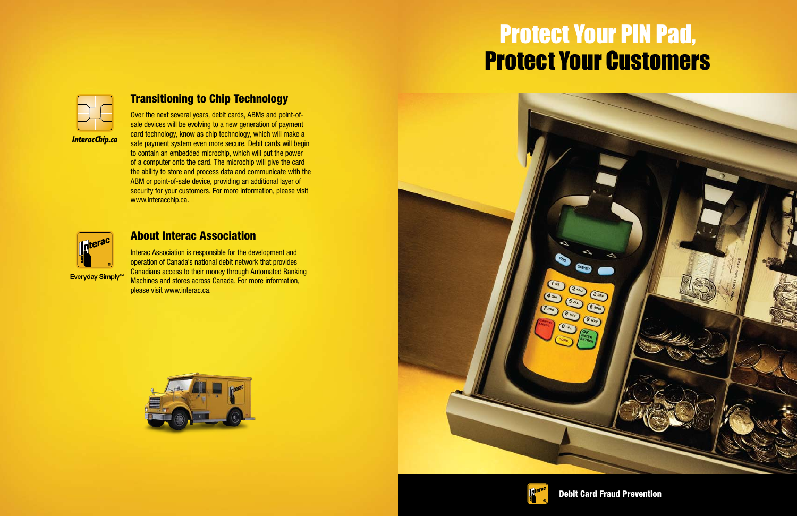## Transitioning to Chip Technology

Over the next several years, debit cards, ABMs and point-ofsale devices will be evolving to a new generation of payment card technology, know as chip technology, which will make a safe payment system even more secure. Debit cards will begin to contain an embedded microchip, which will put the power of a computer onto the card. The microchip will give the card the ability to store and process data and communicate with the ABM or point-of-sale device, providing an additional layer of security for your customers. For more information, please visit www.interacchip.ca.



Everyday Simply<sup>™</sup>

#### About Interac Association

Interac Association is responsible for the development and operation of Canada's national debit network that provides Canadians access to their money through Automated Banking Machines and stores across Canada. For more information, please visit www.interac.ca.







# Protect Your PIN Pad, Protect Your Customers



Debit Card Fraud Prevention

#### *InteracChip.ca*